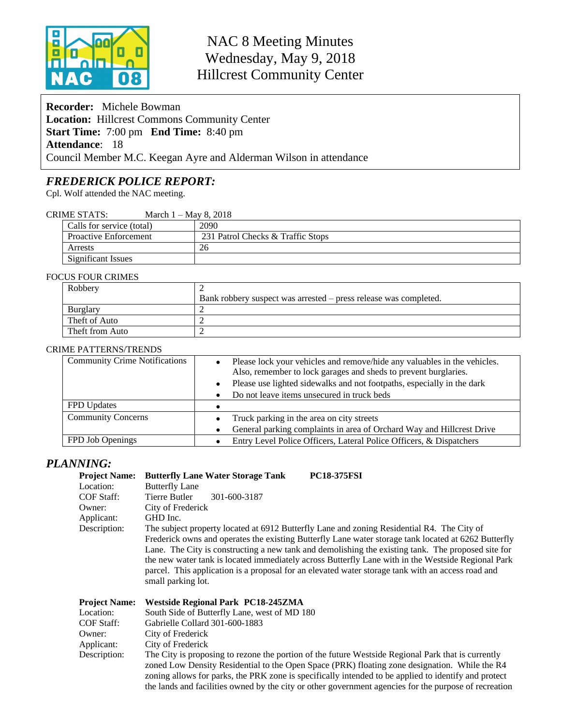

# NAC 8 Meeting Minutes Wednesday, May 9, 2018 Hillcrest Community Center

**Recorder:** Michele Bowman **Location:** Hillcrest Commons Community Center **Start Time:** 7:00 pm **End Time:** 8:40 pm **Attendance**: 18 Council Member M.C. Keegan Ayre and Alderman Wilson in attendance

# *FREDERICK POLICE REPORT:*

Cpl. Wolf attended the NAC meeting.

| <b>CRIME STATS:</b> | March 1 – May 8, 2018 |
|---------------------|-----------------------|
|---------------------|-----------------------|

| Calls for service (total)    | 2090                              |
|------------------------------|-----------------------------------|
| <b>Proactive Enforcement</b> | 231 Patrol Checks & Traffic Stops |
| Arrests                      | 26                                |
| Significant Issues           |                                   |

#### FOCUS FOUR CRIMES

| Robbery         |                                                                  |
|-----------------|------------------------------------------------------------------|
|                 | Bank robbery suspect was arrested – press release was completed. |
| Burglary        |                                                                  |
| Theft of Auto   |                                                                  |
| Theft from Auto |                                                                  |

#### CRIME PATTERNS/TRENDS

| <b>Community Crime Notifications</b> | Please lock your vehicles and remove/hide any valuables in the vehicles.<br>Also, remember to lock garages and sheds to prevent burglaries.<br>Please use lighted sidewalks and not footpaths, especially in the dark |
|--------------------------------------|-----------------------------------------------------------------------------------------------------------------------------------------------------------------------------------------------------------------------|
|                                      | Do not leave items unsecured in truck beds<br>$\bullet$                                                                                                                                                               |
| FPD Updates                          |                                                                                                                                                                                                                       |
| <b>Community Concerns</b>            | Truck parking in the area on city streets                                                                                                                                                                             |
|                                      | General parking complaints in area of Orchard Way and Hillcrest Drive                                                                                                                                                 |
| FPD Job Openings                     | Entry Level Police Officers, Lateral Police Officers, & Dispatchers                                                                                                                                                   |

### *PLANNING:*

| <b>Project Name:</b> | <b>Butterfly Lane Water Storage Tank</b><br><b>PC18-375FSI</b>                                       |  |  |  |
|----------------------|------------------------------------------------------------------------------------------------------|--|--|--|
| Location:            | <b>Butterfly Lane</b>                                                                                |  |  |  |
| <b>COF Staff:</b>    | Tierre Butler<br>301-600-3187                                                                        |  |  |  |
| Owner:               | City of Frederick                                                                                    |  |  |  |
| Applicant:           | GHD Inc.                                                                                             |  |  |  |
| Description:         | The subject property located at 6912 Butterfly Lane and zoning Residential R4. The City of           |  |  |  |
|                      | Frederick owns and operates the existing Butterfly Lane water storage tank located at 6262 Butterfly |  |  |  |
|                      | Lane. The City is constructing a new tank and demolishing the existing tank. The proposed site for   |  |  |  |
|                      | the new water tank is located immediately across Butterfly Lane with in the Westside Regional Park   |  |  |  |
|                      | parcel. This application is a proposal for an elevated water storage tank with an access road and    |  |  |  |
|                      | small parking lot.                                                                                   |  |  |  |
|                      |                                                                                                      |  |  |  |

| Project Name: Westside Regional Park PC18-245ZMA |  |
|--------------------------------------------------|--|
|                                                  |  |

| Location:    | South Side of Butterfly Lane, west of MD 180                                                          |
|--------------|-------------------------------------------------------------------------------------------------------|
| COF Staff:   | Gabrielle Collard 301-600-1883                                                                        |
| Owner:       | City of Frederick                                                                                     |
| Applicant:   | City of Frederick                                                                                     |
| Description: | The City is proposing to rezone the portion of the future Westside Regional Park that is currently    |
|              | zoned Low Density Residential to the Open Space (PRK) floating zone designation. While the R4         |
|              | zoning allows for parks, the PRK zone is specifically intended to be applied to identify and protect  |
|              | the lands and facilities owned by the city or other government agencies for the purpose of recreation |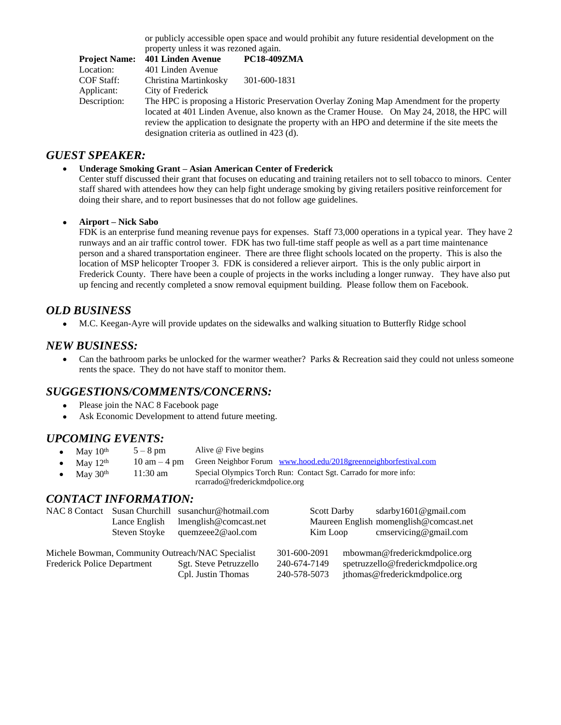or publicly accessible open space and would prohibit any future residential development on the property unless it was rezoned again.

| <b>Project Name:</b> | 401 Linden Avenue                                                                                | <b>PC18-409ZMA</b> |  |  |
|----------------------|--------------------------------------------------------------------------------------------------|--------------------|--|--|
| Location:            | 401 Linden Avenue                                                                                |                    |  |  |
| COF Staff:           | Christina Martinkosky                                                                            | 301-600-1831       |  |  |
| Applicant:           | City of Frederick                                                                                |                    |  |  |
| Description:         | The HPC is proposing a Historic Preservation Overlay Zoning Map Amendment for the property       |                    |  |  |
|                      | located at 401 Linden Avenue, also known as the Cramer House. On May 24, 2018, the HPC will      |                    |  |  |
|                      | review the application to designate the property with an HPO and determine if the site meets the |                    |  |  |
|                      | designation criteria as outlined in 423 (d).                                                     |                    |  |  |

## *GUEST SPEAKER:*

### **Underage Smoking Grant – Asian American Center of Frederick**

Center stuff discussed their grant that focuses on educating and training retailers not to sell tobacco to minors. Center staff shared with attendees how they can help fight underage smoking by giving retailers positive reinforcement for doing their share, and to report businesses that do not follow age guidelines.

### **Airport – Nick Sabo**

FDK is an enterprise fund meaning revenue pays for expenses. Staff 73,000 operations in a typical year. They have 2 runways and an air traffic control tower. FDK has two full-time staff people as well as a part time maintenance person and a shared transportation engineer. There are three flight schools located on the property. This is also the location of MSP helicopter Trooper 3. FDK is considered a reliever airport. This is the only public airport in Frederick County. There have been a couple of projects in the works including a longer runway. They have also put up fencing and recently completed a snow removal equipment building. Please follow them on Facebook.

# *OLD BUSINESS*

M.C. Keegan-Ayre will provide updates on the sidewalks and walking situation to Butterfly Ridge school

### *NEW BUSINESS:*

• Can the bathroom parks be unlocked for the warmer weather? Parks & Recreation said they could not unless someone rents the space. They do not have staff to monitor them.

# *SUGGESTIONS/COMMENTS/CONCERNS:*

- Please join the NAC 8 Facebook page
- Ask Economic Development to attend future meeting.

# *UPCOMING EVENTS:*

- May  $10^{th}$  5 8 pm Alive @ Five begins<br>• May  $12^{th}$  10 am 4 pm Green Neighbor Foru
- May  $12^{th}$  10 am 4 pm Green Neighbor Forum [www.hood.edu/2018greenneighborfestival.com](http://www.hood.edu/2018greenneighborfestival.com)<br>May  $30^{th}$  11:30 am Special Olympics Torch Run: Contact Sgt. Carrado for more info:
	- May  $30<sup>th</sup>$  11:30 am Special Olympics Torch Run: Contact Sgt. Carrado for more info: rcarrado@frederickmdpolice.org

### *CONTACT INFORMATION:*

| <b>NAC 8 Contact</b>                              | Susan Churchill                                                              | susanchur@hotmail.com  | <b>Scott Darby</b>                     |                               | sdarby $1601@$ gmail.com           |  |
|---------------------------------------------------|------------------------------------------------------------------------------|------------------------|----------------------------------------|-------------------------------|------------------------------------|--|
|                                                   | Lance English<br>lmenglish@comcast.net<br>Steven Stoyke<br>quemzeee2@aol.com |                        | Maureen English momenglish@comcast.net |                               |                                    |  |
|                                                   |                                                                              |                        | Kim Loop                               |                               | $\text{cm}$ servicing@gmail.com    |  |
| Michele Bowman, Community Outreach/NAC Specialist |                                                                              | 301-600-2091           |                                        | mbowman@frederickmdpolice.org |                                    |  |
| <b>Frederick Police Department</b>                |                                                                              | Sgt. Steve Petruzzello | 240-674-7149                           |                               | spetruzzello@frederickmdpolice.org |  |
|                                                   |                                                                              | Cpl. Justin Thomas     | 240-578-5073                           |                               | jthomas@frederickmdpolice.org      |  |